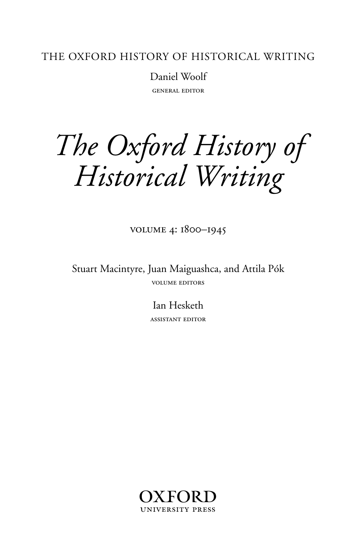<span id="page-0-0"></span>THE OXFORD HISTORY OF HISTORICAL WRITING

 Daniel Woolf general editor

# *The Oxford History of Historical Writing*

volume 4: 1800–1945

 Stuart Macintyre, Juan Maiguashca, and Attila Pók volume editors

> Ian Hesketh assistant editor

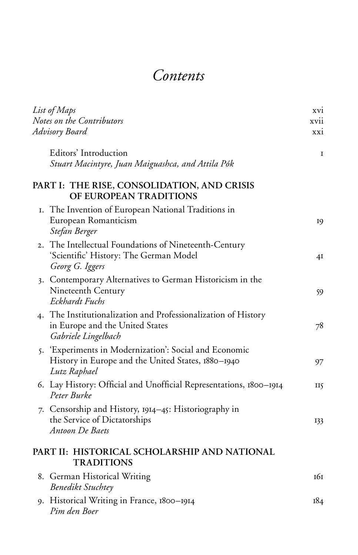### *Contents*

| List of Maps                                                                                                                 | XV1 |  |
|------------------------------------------------------------------------------------------------------------------------------|-----|--|
| Notes on the Contributors                                                                                                    |     |  |
| <b>Advisory Board</b>                                                                                                        | xxi |  |
| Editors' Introduction<br>Stuart Macintyre, Juan Maiguashca, and Attila Pók                                                   | 1   |  |
| PART I: THE RISE, CONSOLIDATION, AND CRISIS<br>OF EUROPEAN TRADITIONS                                                        |     |  |
| I. The Invention of European National Traditions in<br>European Romanticism<br>Stefan Berger                                 | 19  |  |
| 2. The Intellectual Foundations of Nineteenth-Century<br>'Scientific' History: The German Model<br>Georg G. Iggers           | 4I  |  |
| 3. Contemporary Alternatives to German Historicism in the<br>Nineteenth Century<br>Eckhardt Fuchs                            | 59  |  |
| 4. The Institutionalization and Professionalization of History<br>in Europe and the United States<br>Gabriele Lingelbach     | 78  |  |
| 5. 'Experiments in Modernization': Social and Economic<br>History in Europe and the United States, 1880–1940<br>Lutz Raphael | 97  |  |
| 6. Lay History: Official and Unofficial Representations, 1800–1914<br>Peter Burke                                            | Н5  |  |
| 7. Censorship and History, 1914–45: Historiography in<br>the Service of Dictatorships<br><b>Antoon De Baets</b>              | 133 |  |
| PART II: HISTORICAL SCHOLARSHIP AND NATIONAL<br><b>TRADITIONS</b>                                                            |     |  |
| 8. German Historical Writing<br>Benedikt Stuchtey                                                                            | 161 |  |
| 9. Historical Writing in France, 1800-1914<br>Pim den Boer                                                                   | 184 |  |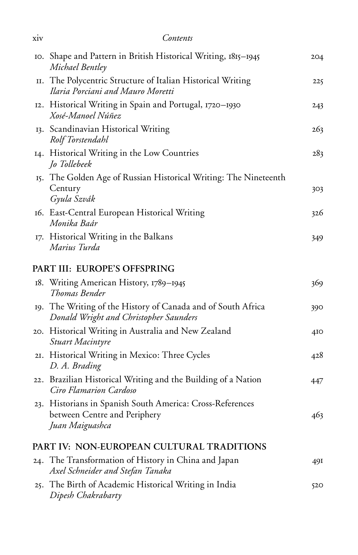| xiv | Contents                                                                                                     |                 |  |  |  |
|-----|--------------------------------------------------------------------------------------------------------------|-----------------|--|--|--|
|     | 10. Shape and Pattern in British Historical Writing, 1815–1945<br>Michael Bentley                            | 204             |  |  |  |
|     | II. The Polycentric Structure of Italian Historical Writing<br>Ilaria Porciani and Mauro Moretti             | 225             |  |  |  |
|     | 12. Historical Writing in Spain and Portugal, 1720-1930<br>Xosé-Manoel Núñez                                 | 243             |  |  |  |
|     | 13. Scandinavian Historical Writing<br>Rolf Torstendahl                                                      | 263             |  |  |  |
|     | 14. Historical Writing in the Low Countries<br>Jo Tollebeek                                                  | 283             |  |  |  |
|     | 15. The Golden Age of Russian Historical Writing: The Nineteenth<br>Century<br>Gyula Szvák                   | 303             |  |  |  |
|     | 16. East-Central European Historical Writing<br>Monika Baár                                                  | 326             |  |  |  |
|     | 17. Historical Writing in the Balkans<br>Marius Turda                                                        | 349             |  |  |  |
|     | PART III: EUROPE'S OFFSPRING                                                                                 |                 |  |  |  |
|     | 18. Writing American History, 1789-1945<br>Thomas Bender                                                     | 369             |  |  |  |
|     | 19. The Writing of the History of Canada and of South Africa<br>Donald Wright and Christopher Saunders       | 390             |  |  |  |
|     | 20. Historical Writing in Australia and New Zealand<br>Stuart Macintyre                                      | 4I <sub>O</sub> |  |  |  |
|     | 21. Historical Writing in Mexico: Three Cycles<br>D. A. Brading                                              | 428             |  |  |  |
|     | 22. Brazilian Historical Writing and the Building of a Nation<br>Ciro Flamarion Cardoso                      | 447             |  |  |  |
|     | 23. Historians in Spanish South America: Cross-References<br>between Centre and Periphery<br>Juan Maiguashca | 463             |  |  |  |
|     | PART IV: NON-EUROPEAN CULTURAL TRADITIONS                                                                    |                 |  |  |  |
|     | 24. The Transformation of History in China and Japan<br>Axel Schneider and Stefan Tanaka                     | 491             |  |  |  |
|     | 25. The Birth of Academic Historical Writing in India<br>Dipesh Chakrabarty                                  | 520             |  |  |  |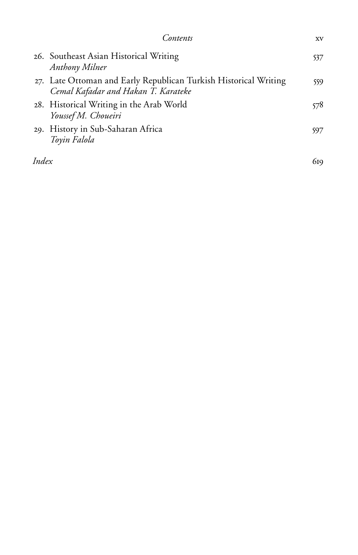|       | Contents                                                                                                | XV  |
|-------|---------------------------------------------------------------------------------------------------------|-----|
|       | 26. Southeast Asian Historical Writing<br><b>Anthony Milner</b>                                         | 537 |
|       | 27. Late Ottoman and Early Republican Turkish Historical Writing<br>Cemal Kafadar and Hakan T. Karateke | 559 |
|       | 28. Historical Writing in the Arab World<br>Youssef M. Choueiri                                         | 578 |
|       | 29. History in Sub-Saharan Africa<br>Toyin Falola                                                       | 597 |
| Index |                                                                                                         | 619 |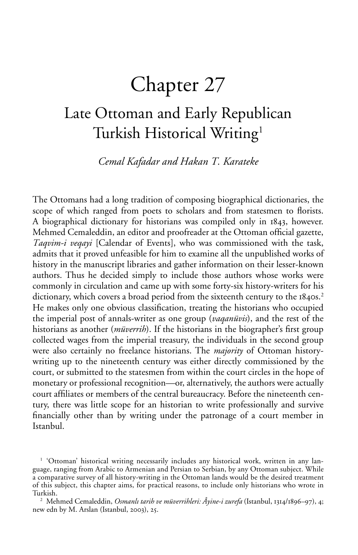# Chapter 27

## <span id="page-4-0"></span>Late Ottoman and Early Republican Turkish Historical Writing<sup>1</sup>

 *Cemal Kafadar and Hakan T. Karateke* 

 The Ottomans had a long tradition of composing biographical dictionaries, the scope of which ranged from poets to scholars and from statesmen to florists. A biographical dictionary for historians was compiled only in 1843, however. Mehmed Cemaleddin, an editor and proofreader at the Ottoman official gazette, *Taqvim-i veqayi* [Calendar of Events], who was commissioned with the task, admits that it proved unfeasible for him to examine all the unpublished works of history in the manuscript libraries and gather information on their lesser-known authors. Thus he decided simply to include those authors whose works were commonly in circulation and came up with some forty-six history-writers for his dictionary, which covers a broad period from the sixteenth century to the 1840s.<sup>2</sup> He makes only one obvious classification, treating the historians who occupied the imperial post of annals-writer as one group ( *vaqanüvis* ), and the rest of the historians as another *(müverrih)*. If the historians in the biographer's first group collected wages from the imperial treasury, the individuals in the second group were also certainly no freelance historians. The *majority* of Ottoman historywriting up to the nineteenth century was either directly commissioned by the court, or submitted to the statesmen from within the court circles in the hope of monetary or professional recognition—or, alternatively, the authors were actually court affiliates or members of the central bureaucracy. Before the nineteenth century, there was little scope for an historian to write professionally and survive financially other than by writing under the patronage of a court member in Istanbul.

<sup>&</sup>lt;sup>1</sup> 'Ottoman' historical writing necessarily includes any historical work, written in any language, ranging from Arabic to Armenian and Persian to Serbian, by any Ottoman subject. While a comparative survey of all history-writing in the Ottoman lands would be the desired treatment of this subject, this chapter aims, for practical reasons, to include only historians who wrote in Turkish. 2 Mehmed Cemaleddin, *Osmanlı tarih ve müverrihleri: Âyine-i zurefa* (Istanbul, 1314/1896–97), <sup>4</sup> ;

new edn by M. Arslan (Istanbul, 2003), 25.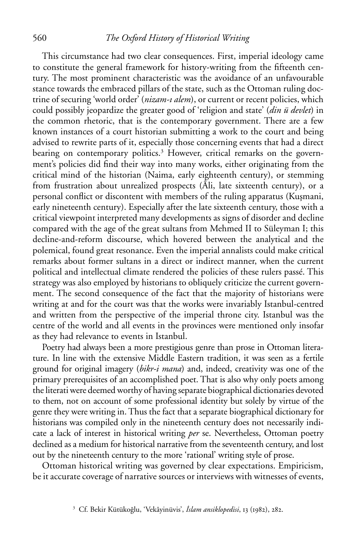#### 560 *The Oxford History of Historical Writing*

 This circumstance had two clear consequences. First, imperial ideology came to constitute the general framework for history-writing from the fifteenth century. The most prominent characteristic was the avoidance of an unfavourable stance towards the embraced pillars of the state, such as the Ottoman ruling doctrine of securing 'world order' (*nizam-1 alem*), or current or recent policies, which could possibly jeopardize the greater good of 'religion and state' (*din ü devlet*) in the common rhetoric, that is the contemporary government. There are a few known instances of a court historian submitting a work to the court and being advised to rewrite parts of it, especially those concerning events that had a direct bearing on contemporary politics.<sup>3</sup> However, critical remarks on the government's policies did find their way into many works, either originating from the critical mind of the historian (Naima, early eighteenth century), or stemming from frustration about unrealized prospects (Âli, late sixteenth century), or a personal conflict or discontent with members of the ruling apparatus (Kusmani, early nineteenth century). Especially after the late sixteenth century, those with a critical viewpoint interpreted many developments as signs of disorder and decline compared with the age of the great sultans from Mehmed II to Süleyman I; this decline-and-reform discourse, which hovered between the analytical and the polemical, found great resonance. Even the imperial annalists could make critical remarks about former sultans in a direct or indirect manner, when the current political and intellectual climate rendered the policies of these rulers passé. This strategy was also employed by historians to obliquely criticize the current government. The second consequence of the fact that the majority of historians were writing at and for the court was that the works were invariably Istanbul-centred and written from the perspective of the imperial throne city. Istanbul was the centre of the world and all events in the provinces were mentioned only insofar as they had relevance to events in Istanbul.

 Poetry had always been a more prestigious genre than prose in Ottoman literature. In line with the extensive Middle Eastern tradition, it was seen as a fertile ground for original imagery (*bikr-i mana*) and, indeed, creativity was one of the primary prerequisites of an accomplished poet. That is also why only poets among the literati were deemed worthy of having separate biographical dictionaries devoted to them, not on account of some professional identity but solely by virtue of the genre they were writing in. Thus the fact that a separate biographical dictionary for historians was compiled only in the nineteenth century does not necessarily indicate a lack of interest in historical writing *per* se. Nevertheless, Ottoman poetry declined as a medium for historical narrative from the seventeenth century, and lost out by the nineteenth century to the more 'rational' writing style of prose.

 Ottoman historical writing was governed by clear expectations. Empiricism, be it accurate coverage of narrative sources or interviews with witnesses of events,

<sup>&</sup>lt;sup>3</sup> Cf. Bekir Kütükoğlu, 'Vekâyinüvis', İslam ansiklopedisi, 13 (1982), 282.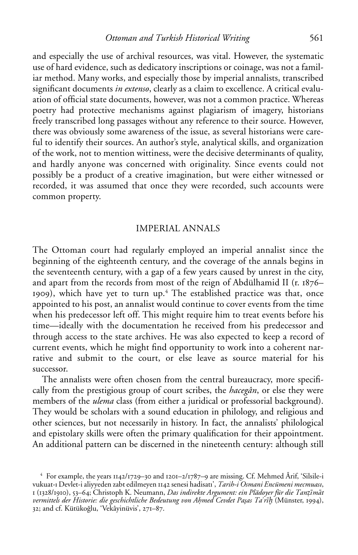and especially the use of archival resources, was vital. However, the systematic use of hard evidence, such as dedicatory inscriptions or coinage, was not a familiar method. Many works, and especially those by imperial annalists, transcribed significant documents *in extenso*, clearly as a claim to excellence. A critical evaluation of official state documents, however, was not a common practice. Whereas poetry had protective mechanisms against plagiarism of imagery, historians freely transcribed long passages without any reference to their source. However, there was obviously some awareness of the issue, as several historians were careful to identify their sources. An author's style, analytical skills, and organization of the work, not to mention wittiness, were the decisive determinants of quality, and hardly anyone was concerned with originality. Since events could not possibly be a product of a creative imagination, but were either witnessed or recorded, it was assumed that once they were recorded, such accounts were common property.

#### IMPERIAL ANNALS

 The Ottoman court had regularly employed an imperial annalist since the beginning of the eighteenth century, and the coverage of the annals begins in the seventeenth century, with a gap of a few years caused by unrest in the city, and apart from the records from most of the reign of Abdülhamid II (r. 1876– 1909), which have yet to turn up. $^4$  The established practice was that, once appointed to his post, an annalist would continue to cover events from the time when his predecessor left off. This might require him to treat events before his time—ideally with the documentation he received from his predecessor and through access to the state archives. He was also expected to keep a record of current events, which he might find opportunity to work into a coherent narrative and submit to the court, or else leave as source material for his successor.

The annalists were often chosen from the central bureaucracy, more specifically from the prestigious group of court scribes, the *hacegân*, or else they were members of the *ulema* class (from either a juridical or professorial background). They would be scholars with a sound education in philology, and religious and other sciences, but not necessarily in history. In fact, the annalists' philological and epistolary skills were often the primary qualification for their appointment. An additional pattern can be discerned in the nineteenth century: although still

 <sup>4</sup> For example, the years 1142/1729–30 and 1201–2/1787–9 are missing. Cf. Mehmed Ârif, 'Silsile-i vukuat-ı Devlet-i aliyyeden zabt edilmeyen 1142 senesi hadisatı', *Tarih-i Osmani Encümeni mecmuası* , 1 (1328/1910), 53–64 ; Christoph K. Neumann, *Das indirekte Argument: ein Plädoyer für die Tanẓıma ̄ ̄t vermittels der Historie: die geschichtliche Bedeutung von Aḥmed Cevdet Paşas Taʾrıḫ̄* (Münster, 1994 ), 32 ; and cf. Kütükoğlu, 'Vekâyinüvis', 271–87.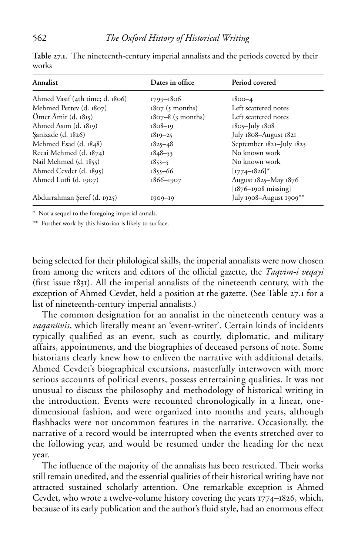| Annalist                        | Dates in office       | Period covered                                                         |
|---------------------------------|-----------------------|------------------------------------------------------------------------|
| Ahmed Vasif (4th time; d. 1806) | $1799 - 1806$         | $1800 - 4$                                                             |
| Mehmed Pertev (d. 1807)         | $1807$ (5 months)     | Left scattered notes                                                   |
| Ömer Âmir (d. 1815)             | $1807 - 8$ (3 months) | Left scattered notes                                                   |
| Ahmed Asim (d. 1819)            | $1808 - 19$           | 1805-July 1808                                                         |
| Sanizade (d. 1826)              | $1819 - 25$           | July 1808-August 1821                                                  |
| Mehmed Esad (d. 1848)           | $1825 - 48$           | September 1821-July 1825                                               |
| Recai Mehmed (d. 1874)          | $1848 - 53$           | No known work                                                          |
| Nail Mehmed (d. 1855)           | $1853 - 5$            | No known work                                                          |
| Ahmed Cevdet (d. 1895)          | $1855 - 66$           | $\left[1774 - 1826\right]$ *                                           |
| Ahmed Lutfi (d. 1907)           | 1866-1907             | August 1825-May 1876                                                   |
| Abdurrahman Şeref (d. 1925)     | $1909 - 19$           | $[1876 - 1908 \text{ missing}]$<br>July 1908–August 1909 <sup>**</sup> |

**Table 27.1.** The nineteenth-century imperial annalists and the periods covered by their works

\* Not a sequel to the foregoing imperial annals.

\*\* Further work by this historian is likely to surface.

being selected for their philological skills, the imperial annalists were now chosen from among the writers and editors of the official gazette, the *Taqvim-i veqayi* (first issue  $1831$ ). All the imperial annalists of the nineteenth century, with the exception of Ahmed Cevdet, held a position at the gazette. (See Table 27.1 for a list of nineteenth-century imperial annalists.)

 The common designation for an annalist in the nineteenth century was a *vaqanüvis* , which literally meant an 'event-writer'. Certain kinds of incidents typically qualified as an event, such as courtly, diplomatic, and military affairs, appointments, and the biographies of deceased persons of note. Some historians clearly knew how to enliven the narrative with additional details. Ahmed Cevdet's biographical excursions, masterfully interwoven with more serious accounts of political events, possess entertaining qualities. It was not unusual to discuss the philosophy and methodology of historical writing in the introduction. Events were recounted chronologically in a linear, onedimensional fashion, and were organized into months and years, although flashbacks were not uncommon features in the narrative. Occasionally, the narrative of a record would be interrupted when the events stretched over to the following year, and would be resumed under the heading for the next year.

The influence of the majority of the annalists has been restricted. Their works still remain unedited, and the essential qualities of their historical writing have not attracted sustained scholarly attention. One remarkable exception is Ahmed Cevdet, who wrote a twelve-volume history covering the years 1774–1826, which, because of its early publication and the author's fluid style, had an enormous effect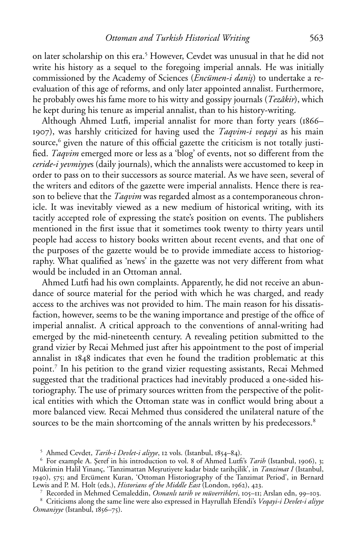on later scholarship on this era.<sup>5</sup> However, Cevdet was unusual in that he did not write his history as a sequel to the foregoing imperial annals. He was initially commissioned by the Academy of Sciences (*Encümen-i danis*) to undertake a reevaluation of this age of reforms, and only later appointed annalist. Furthermore, he probably owes his fame more to his witty and gossipy journals ( *Tezâkir* ), which he kept during his tenure as imperial annalist, than to his history-writing.

Although Ahmed Lutfi, imperial annalist for more than forty years (1866– 1907), was harshly criticized for having used the *Taqvim-i veqayi* as his main source, $\rm ^6$  given the nature of this official gazette the criticism is not totally justified. *Taqvim* emerged more or less as a 'blog' of events, not so different from the *ceride-i yevmiyyes* (daily journals), which the annalists were accustomed to keep in order to pass on to their successors as source material. As we have seen, several of the writers and editors of the gazette were imperial annalists. Hence there is reason to believe that the *Taqvim* was regarded almost as a contemporaneous chronicle. It was inevitably viewed as a new medium of historical writing, with its tacitly accepted role of expressing the state's position on events. The publishers mentioned in the first issue that it sometimes took twenty to thirty years until people had access to history books written about recent events, and that one of the purposes of the gazette would be to provide immediate access to historiography. What qualified as 'news' in the gazette was not very different from what would be included in an Ottoman annal.

 Ahmed Lutfi had his own complaints. Apparently, he did not receive an abundance of source material for the period with which he was charged, and ready access to the archives was not provided to him. The main reason for his dissatisfaction, however, seems to be the waning importance and prestige of the office of imperial annalist. A critical approach to the conventions of annal-writing had emerged by the mid-nineteenth century. A revealing petition submitted to the grand vizier by Recai Mehmed just after his appointment to the post of imperial annalist in 1848 indicates that even he found the tradition problematic at this point.<sup>7</sup> In his petition to the grand vizier requesting assistants, Recai Mehmed suggested that the traditional practices had inevitably produced a one-sided historiography. The use of primary sources written from the perspective of the political entities with which the Ottoman state was in conflict would bring about a more balanced view. Recai Mehmed thus considered the unilateral nature of the sources to be the main shortcoming of the annals written by his predecessors.<sup>8</sup>

 <sup>5</sup> Ahmed Cevdet, *Tarih-i Devlet-i aliyye* , 12 vols. (Istanbul, 1854–84). 6 For example A. Şeref in his introduction to vol. 8 of Ahmed Lutfi 's *Tarih* (Istanbul, 1906), <sup>3</sup>; Mükrimin Halil Yinanç, 'Tanzimattan Meşrutiyete kadar bizde tarihçilik', in *Tanzimat I* (Istanbul, 1940), 575 ; and Ercüment Kuran, 'Ottoman Historiography of the Tanzimat Period', in Bernard Lewis and P. M. Holt (eds.), *Historians of the Middle East* (London, 1962), 423.<br><sup>7</sup> Recorded in Mehmed Cemaleddin, *Osmanlı tarih ve müverrihleri*, 105–11; Arslan edn, 99–103.<br><sup>8</sup> Criticisms along the same line were also

*Osmaniyye* (Istanbul, 1856–75).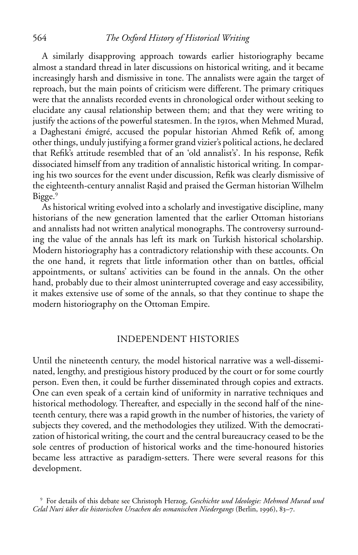#### 564 *The Oxford History of Historical Writing*

 A similarly disapproving approach towards earlier historiography became almost a standard thread in later discussions on historical writing, and it became increasingly harsh and dismissive in tone. The annalists were again the target of reproach, but the main points of criticism were different. The primary critiques were that the annalists recorded events in chronological order without seeking to elucidate any causal relationship between them; and that they were writing to justify the actions of the powerful statesmen. In the 1910s, when Mehmed Murad, a Daghestani émigré, accused the popular historian Ahmed Refik of, among other things, unduly justifying a former grand vizier's political actions, he declared that Refik's attitude resembled that of an 'old annalist's'. In his response, Refik dissociated himself from any tradition of annalistic historical writing. In comparing his two sources for the event under discussion, Refik was clearly dismissive of the eighteenth-century annalist Raşid and praised the German historian Wilhelm Bigge.<sup>9</sup>

 As historical writing evolved into a scholarly and investigative discipline, many historians of the new generation lamented that the earlier Ottoman historians and annalists had not written analytical monographs. The controversy surrounding the value of the annals has left its mark on Turkish historical scholarship. Modern historiography has a contradictory relationship with these accounts. On the one hand, it regrets that little information other than on battles, official appointments, or sultans' activities can be found in the annals. On the other hand, probably due to their almost uninterrupted coverage and easy accessibility, it makes extensive use of some of the annals, so that they continue to shape the modern historiography on the Ottoman Empire.

#### INDEPENDENT HISTORIES

 Until the nineteenth century, the model historical narrative was a well-disseminated, lengthy, and prestigious history produced by the court or for some courtly person. Even then, it could be further disseminated through copies and extracts. One can even speak of a certain kind of uniformity in narrative techniques and historical methodology. Thereafter, and especially in the second half of the nineteenth century, there was a rapid growth in the number of histories, the variety of subjects they covered, and the methodologies they utilized. With the democratization of historical writing, the court and the central bureaucracy ceased to be the sole centres of production of historical works and the time-honoured histories became less attractive as paradigm-setters. There were several reasons for this development.

 <sup>9</sup> For details of this debate see Christoph Herzog, *Geschichte und Ideologie: Mehmed Murad und Celal Nuri über die historischen Ursachen des osmanischen Niedergangs* (Berlin, 1996), 83–7 .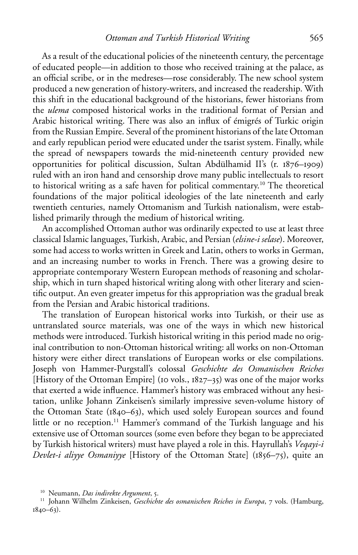As a result of the educational policies of the nineteenth century, the percentage of educated people—in addition to those who received training at the palace, as an official scribe, or in the medreses—rose considerably. The new school system produced a new generation of history-writers, and increased the readership. With this shift in the educational background of the historians, fewer historians from the *ulema* composed historical works in the traditional format of Persian and Arabic historical writing. There was also an influx of émigrés of Turkic origin from the Russian Empire. Several of the prominent historians of the late Ottoman and early republican period were educated under the tsarist system. Finally, while the spread of newspapers towards the mid-nineteenth century provided new opportunities for political discussion, Sultan Abdülhamid II's (r. 1876–1909) ruled with an iron hand and censorship drove many public intellectuals to resort to historical writing as a safe haven for political commentary. 10 The theoretical foundations of the major political ideologies of the late nineteenth and early twentieth centuries, namely Ottomanism and Turkish nationalism, were established primarily through the medium of historical writing.

 An accomplished Ottoman author was ordinarily expected to use at least three classical Islamic languages, Turkish, Arabic, and Persian ( *elsine-i selase* ). Moreover, some had access to works written in Greek and Latin, others to works in German, and an increasing number to works in French. There was a growing desire to appropriate contemporary Western European methods of reasoning and scholarship, which in turn shaped historical writing along with other literary and scientific output. An even greater impetus for this appropriation was the gradual break from the Persian and Arabic historical traditions.

 The translation of European historical works into Turkish, or their use as untranslated source materials, was one of the ways in which new historical methods were introduced. Turkish historical writing in this period made no original contribution to non-Ottoman historical writing: all works on non-Ottoman history were either direct translations of European works or else compilations. Joseph von Hammer-Purgstall's colossal *Geschichte des Osmanischen Reiches* [History of the Ottoman Empire] (10 vols., 1827–35) was one of the major works that exerted a wide influence. Hammer's history was embraced without any hesitation, unlike Johann Zinkeisen's similarly impressive seven-volume history of the Ottoman State (1840–63), which used solely European sources and found little or no reception.<sup>11</sup> Hammer's command of the Turkish language and his extensive use of Ottoman sources (some even before they began to be appreciated by Turkish historical writers) must have played a role in this. Hayrullah's *Veqayi-i Devlet-i aliyye Osmaniyye* [History of the Ottoman State] (1856–75), quite an

<sup>&</sup>lt;sup>10</sup> Neumann, *Das indirekte Argument*, 5.<br><sup>11</sup> Johann Wilhelm Zinkeisen, *Geschichte des osmanischen Reiches in Europa*, 7 vols. (Hamburg,  $1840 - 63$ ).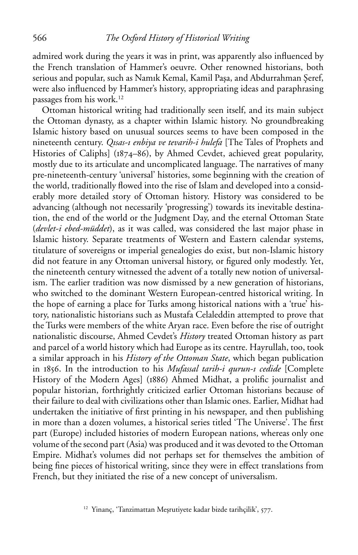admired work during the years it was in print, was apparently also influenced by the French translation of Hammer's oeuvre. Other renowned historians, both serious and popular, such as Namık Kemal, Kamil Paşa, and Abdurrahman Şeref, were also influenced by Hammer's history, appropriating ideas and paraphrasing passages from his work. 12

 Ottoman historical writing had traditionally seen itself, and its main subject the Ottoman dynasty, as a chapter within Islamic history. No groundbreaking Islamic history based on unusual sources seems to have been composed in the nineteenth century. *Qısas-ı enbiya ve tevarih-i hulefa* [The Tales of Prophets and Histories of Caliphs] (1874–86), by Ahmed Cevdet, achieved great popularity, mostly due to its articulate and uncomplicated language. The narratives of many pre-nineteenth-century 'universal' histories, some beginning with the creation of the world, traditionally flowed into the rise of Islam and developed into a considerably more detailed story of Ottoman history. History was considered to be advancing (although not necessarily 'progressing') towards its inevitable destination, the end of the world or the Judgment Day, and the eternal Ottoman State (*devlet-i ebed-müddet*), as it was called, was considered the last major phase in Islamic history. Separate treatments of Western and Eastern calendar systems, titulature of sovereigns or imperial genealogies do exist, but non-Islamic history did not feature in any Ottoman universal history, or figured only modestly. Yet, the nineteenth century witnessed the advent of a totally new notion of universalism. The earlier tradition was now dismissed by a new generation of historians, who switched to the dominant Western European-centred historical writing. In the hope of earning a place for Turks among historical nations with a 'true' history, nationalistic historians such as Mustafa Celaleddin attempted to prove that the Turks were members of the white Aryan race. Even before the rise of outright nationalistic discourse, Ahmed Cevdet's *History* treated Ottoman history as part and parcel of a world history which had Europe as its centre. Hayrullah, too, took a similar approach in his *History of the Ottoman State* , which began publication in 1856. In the introduction to his *Mufassal tarih-i qurun-ı cedide* [Complete History of the Modern Ages] (1886) Ahmed Midhat, a prolific journalist and popular historian, forthrightly criticized earlier Ottoman historians because of their failure to deal with civilizations other than Islamic ones. Earlier, Midhat had undertaken the initiative of first printing in his newspaper, and then publishing in more than a dozen volumes, a historical series titled 'The Universe'. The first part (Europe) included histories of modern European nations, whereas only one volume of the second part (Asia) was produced and it was devoted to the Ottoman Empire. Midhat's volumes did not perhaps set for themselves the ambition of being fine pieces of historical writing, since they were in effect translations from French, but they initiated the rise of a new concept of universalism.

 <sup>12</sup> Yinanç, 'Tanzimattan Meşrutiyete kadar bizde tarihçilik', 577.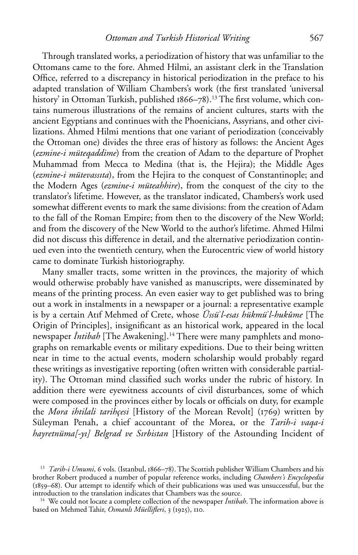Through translated works, a periodization of history that was unfamiliar to the Ottomans came to the fore. Ahmed Hilmi, an assistant clerk in the Translation Office, referred to a discrepancy in historical periodization in the preface to his adapted translation of William Chambers's work (the first translated 'universal history' in Ottoman Turkish, published 1866–78).<sup>13</sup> The first volume, which contains numerous illustrations of the remains of ancient cultures, starts with the ancient Egyptians and continues with the Phoenicians, Assyrians, and other civilizations. Ahmed Hilmi mentions that one variant of periodization (conceivably the Ottoman one) divides the three eras of history as follows: the Ancient Ages (*ezmine-i müteqaddime*) from the creation of Adam to the departure of Prophet Muhammad from Mecca to Medina (that is, the Hejira); the Middle Ages (*ezmine-i mütevassıta* ), from the Hejira to the conquest of Constantinople; and the Modern Ages (ezmine-i müteahhire), from the conquest of the city to the translator's lifetime. However, as the translator indicated, Chambers's work used somewhat different events to mark the same divisions: from the creation of Adam to the fall of the Roman Empire; from then to the discovery of the New World; and from the discovery of the New World to the author's lifetime. Ahmed Hilmi did not discuss this difference in detail, and the alternative periodization continued even into the twentieth century, when the Eurocentric view of world history came to dominate Turkish historiography.

 Many smaller tracts, some written in the provinces, the majority of which would otherwise probably have vanished as manuscripts, were disseminated by means of the printing process. An even easier way to get published was to bring out a work in instalments in a newspaper or a journal: a representative example is by a certain Atıf Mehmed of Crete, whose *Üssüʾl-esas hükmüʾl-hukûme* [The Origin of Principles], insignificant as an historical work, appeared in the local newspaper *İntibah* [The Awakening]. 14 There were many pamphlets and monographs on remarkable events or military expeditions. Due to their being written near in time to the actual events, modern scholarship would probably regard these writings as investigative reporting (often written with considerable partiality). The Ottoman mind classified such works under the rubric of history. In addition there were eyewitness accounts of civil disturbances, some of which were composed in the provinces either by locals or officials on duty, for example the *Mora ihtilali tarihçesi* [History of the Morean Revolt] (1769) written by Süleyman Penah, a chief accountant of the Morea, or the *Tarih-i vaqa-i hayretnüma[-yı] Belgrad ve Sırbistan* [History of the Astounding Incident of

<sup>&</sup>lt;sup>13</sup> Tarih-i Umumi, 6 vols. (Istanbul, 1866–78). The Scottish publisher William Chambers and his brother Robert produced a number of popular reference works, including *Chambers's Encyclopedia* (1859–68). Our attempt to identify which of their publications was used was unsuccessful, but the

<sup>&</sup>lt;sup>14</sup> We could not locate a complete collection of the newspaper *Intibah*. The information above is based on Mehmed Tahir, *Osmanlı Müellifleri*, 3 (1925), 110.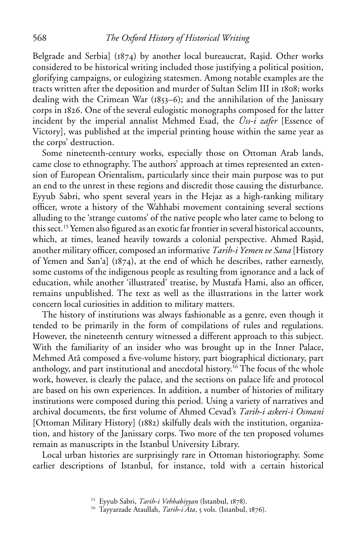Belgrade and Serbia] (1874) by another local bureaucrat, Raşid. Other works considered to be historical writing included those justifying a political position, glorifying campaigns, or eulogizing statesmen. Among notable examples are the tracts written after the deposition and murder of Sultan Selim III in 1808; works dealing with the Crimean War (1853–6); and the annihilation of the Janissary corps in 1826. One of the several eulogistic monographs composed for the latter incident by the imperial annalist Mehmed Esad, the *Üss-i zafer* [Essence of Victory], was published at the imperial printing house within the same year as the corps' destruction.

 Some nineteenth-century works, especially those on Ottoman Arab lands, came close to ethnography. The authors' approach at times represented an extension of European Orientalism, particularly since their main purpose was to put an end to the unrest in these regions and discredit those causing the disturbance. Eyyub Sabri, who spent several years in the Hejaz as a high-ranking military officer, wrote a history of the Wahhabi movement containing several sections alluding to the 'strange customs' of the native people who later came to belong to this sect.<sup>15</sup> Yemen also figured as an exotic far frontier in several historical accounts, which, at times, leaned heavily towards a colonial perspective. Ahmed Raşid, another military officer, composed an informative *Tarih-i Yemen ve Sana* [History of Yemen and San'a] (1874), at the end of which he describes, rather earnestly, some customs of the indigenous people as resulting from ignorance and a lack of education, while another 'illustrated' treatise, by Mustafa Hami, also an officer, remains unpublished. The text as well as the illustrations in the latter work concern local curiosities in addition to military matters.

 The history of institutions was always fashionable as a genre, even though it tended to be primarily in the form of compilations of rules and regulations. However, the nineteenth century witnessed a different approach to this subject. With the familiarity of an insider who was brought up in the Inner Palace, Mehmed Atâ composed a five-volume history, part biographical dictionary, part anthology, and part institutional and anecdotal history. 16 The focus of the whole work, however, is clearly the palace, and the sections on palace life and protocol are based on his own experiences. In addition, a number of histories of military institutions were composed during this period. Using a variety of narratives and archival documents, the first volume of Ahmed Cevad's *Tarih-i askeri-i Osmani* [Ottoman Military History] (1882) skilfully deals with the institution, organization, and history of the Janissary corps. Two more of the ten proposed volumes remain as manuscripts in the Istanbul University Library.

 Local urban histories are surprisingly rare in Ottoman historiography. Some earlier descriptions of Istanbul, for instance, told with a certain historical

<sup>&</sup>lt;sup>15</sup> Eyyub Sabri, *Tarih-i Vehhabiyyan* (Istanbul, 1878).<br><sup>16</sup> Tayyarzade Ataullah, *Tarih-i Ata*, 5 vols. (Istanbul, 1876).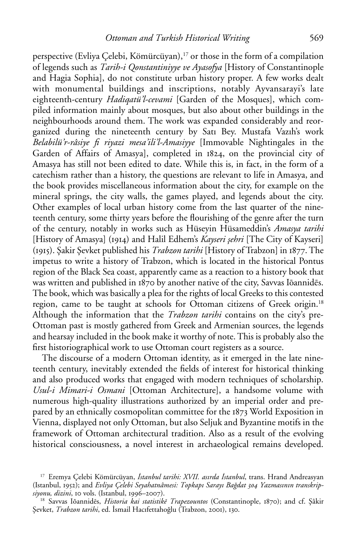perspective (Evliya Çelebi, Kömürcüyan),<sup>17</sup> or those in the form of a compilation of legends such as *Tarih-i Qonstantiniyye ve Ayasofya* [History of Constantinople and Hagia Sophia], do not constitute urban history proper. A few works dealt with monumental buildings and inscriptions, notably Ayvansarayi's late eighteenth-century *Hadiqatü'l-cevami* [Garden of the Mosques], which compiled information mainly about mosques, but also about other buildings in the neighbourhoods around them. The work was expanded considerably and reorganized during the nineteenth century by Satı Bey. Mustafa Vazıh's work *Belabilü'r-râsiye fi riyazi mesa'ili'l-Amasiyye* [Immovable Nightingales in the Garden of Affairs of Amasya], completed in 1824, on the provincial city of Amasya has still not been edited to date. While this is, in fact, in the form of a catechism rather than a history, the questions are relevant to life in Amasya, and the book provides miscellaneous information about the city, for example on the mineral springs, the city walls, the games played, and legends about the city. Other examples of local urban history come from the last quarter of the nineteenth century, some thirty years before the flourishing of the genre after the turn of the century, notably in works such as Hüseyin Hüsameddin's *Amasya tarihi* [History of Amasya] (1914) and Halil Edhem's *Kayseri şehri* [The City of Kayseri] (1915). Şakir Şevket published his *Trabzon tarihi* [History of Trabzon] in 1877. The impetus to write a history of Trabzon, which is located in the historical Pontus region of the Black Sea coast, apparently came as a reaction to a history book that was written and published in 1870 by another native of the city, Savvas Iōannidēs. The book, which was basically a plea for the rights of local Greeks to this contested region, came to be taught at schools for Ottoman citizens of Greek origin. 18 Although the information that the *Trabzon tarihi* contains on the city's pre-Ottoman past is mostly gathered from Greek and Armenian sources, the legends and hearsay included in the book make it worthy of note. This is probably also the first historiographical work to use Ottoman court registers as a source.

 The discourse of a modern Ottoman identity, as it emerged in the late nineteenth century, inevitably extended the fields of interest for historical thinking and also produced works that engaged with modern techniques of scholarship. *Usul-i Mimari-i Osmani* [Ottoman Architecture], a handsome volume with numerous high-quality illustrations authorized by an imperial order and prepared by an ethnically cosmopolitan committee for the 1873 World Exposition in Vienna, displayed not only Ottoman, but also Seljuk and Byzantine motifs in the framework of Ottoman architectural tradition. Also as a result of the evolving historical consciousness, a novel interest in archaeological remains developed.

 <sup>17</sup> Eremya Çelebi Kömürcüyan, *İstanbul tarihi: XVII. asırda İstanbul* , trans. Hrand Andreasyan (Istanbul, 1952) ; and *Evliya Çelebi Seyahatnâmesi: Topkapı Sarayı Bağdat 304 Yazmasının transkrip-*

<sup>&</sup>lt;sup>18</sup> Savvas Iōannidēs, *Historia kai statistikē Trapezountos* (Constantinople, 1870); and cf. Şâkir Şevket, *Trabzon tarihi* , ed. İsmail Hacıfettahoğlu (Trabzon, 2001), 130 .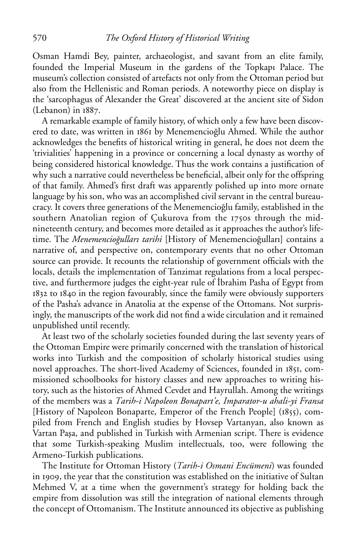Osman Hamdi Bey, painter, archaeologist, and savant from an elite family, founded the Imperial Museum in the gardens of the Topkapı Palace. The museum's collection consisted of artefacts not only from the Ottoman period but also from the Hellenistic and Roman periods. A noteworthy piece on display is the 'sarcophagus of Alexander the Great' discovered at the ancient site of Sidon (Lebanon) in 1887.

 A remarkable example of family history, of which only a few have been discovered to date, was written in 1861 by Menemencioğlu Ahmed. While the author acknowledges the benefits of historical writing in general, he does not deem the 'trivialities' happening in a province or concerning a local dynasty as worthy of being considered historical knowledge. Thus the work contains a justification of why such a narrative could nevertheless be beneficial, albeit only for the offspring of that family. Ahmed's first draft was apparently polished up into more ornate language by his son, who was an accomplished civil servant in the central bureaucracy. It covers three generations of the Menemencioğlu family, established in the southern Anatolian region of Çukurova from the 1750s through the midnineteenth century, and becomes more detailed as it approaches the author's lifetime. The *Menemencioğulları tarihi* [History of Menemencioğulları] contains a narrative of, and perspective on, contemporary events that no other Ottoman source can provide. It recounts the relationship of government officials with the locals, details the implementation of Tanzimat regulations from a local perspective, and furthermore judges the eight-year rule of İbrahim Pasha of Egypt from 1832 to 1840 in the region favourably, since the family were obviously supporters of the Pasha's advance in Anatolia at the expense of the Ottomans. Not surprisingly, the manuscripts of the work did not find a wide circulation and it remained unpublished until recently.

 At least two of the scholarly societies founded during the last seventy years of the Ottoman Empire were primarily concerned with the translation of historical works into Turkish and the composition of scholarly historical studies using novel approaches. The short-lived Academy of Sciences, founded in 1851, commissioned schoolbooks for history classes and new approaches to writing history, such as the histories of Ahmed Cevdet and Hayrullah. Among the writings of the members was a *Tarih-i Napoleon Bonapart'e, Imparator-u ahali-yi Fransa* [History of Napoleon Bonaparte, Emperor of the French People] (1855), compiled from French and English studies by Hovsep Vartanyan, also known as Vartan Paşa, and published in Turkish with Armenian script. There is evidence that some Turkish-speaking Muslim intellectuals, too, were following the Armeno-Turkish publications.

The Institute for Ottoman History ( *Tarih-i Osmani Encümeni* ) was founded in 1909, the year that the constitution was established on the initiative of Sultan Mehmed V, at a time when the government's strategy for holding back the empire from dissolution was still the integration of national elements through the concept of Ottomanism. The Institute announced its objective as publishing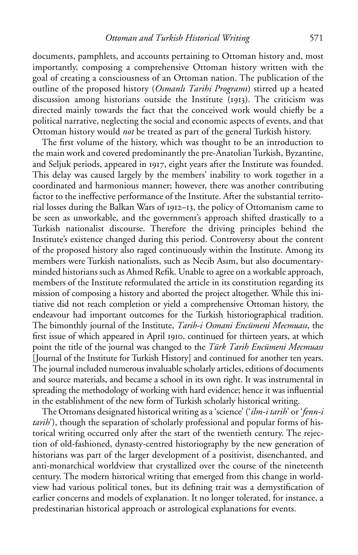documents, pamphlets, and accounts pertaining to Ottoman history and, most importantly, composing a comprehensive Ottoman history written with the goal of creating a consciousness of an Ottoman nation. The publication of the outline of the proposed history ( *Osmanlı Tarihi Programı* ) stirred up a heated discussion among historians outside the Institute (1913). The criticism was directed mainly towards the fact that the conceived work would chiefly be a political narrative, neglecting the social and economic aspects of events, and that Ottoman history would *not* be treated as part of the general Turkish history.

The first volume of the history, which was thought to be an introduction to the main work and covered predominantly the pre-Anatolian Turkish, Byzantine, and Seljuk periods, appeared in 1917, eight years after the Institute was founded. This delay was caused largely by the members' inability to work together in a coordinated and harmonious manner; however, there was another contributing factor to the ineffective performance of the Institute. After the substantial territorial losses during the Balkan Wars of 1912–13, the policy of Ottomanism came to be seen as unworkable, and the government's approach shifted drastically to a Turkish nationalist discourse. Therefore the driving principles behind the Institute's existence changed during this period. Controversy about the content of the proposed history also raged continuously within the Institute. Among its members were Turkish nationalists, such as Necib Asım, but also documentaryminded historians such as Ahmed Refik. Unable to agree on a workable approach, members of the Institute reformulated the article in its constitution regarding its mission of composing a history and aborted the project altogether. While this initiative did not reach completion or yield a comprehensive Ottoman history, the endeavour had important outcomes for the Turkish historiographical tradition. The bimonthly journal of the Institute, *Tarih-i Osmani Encümeni Mecmuası* , the first issue of which appeared in April 1910, continued for thirteen years, at which point the title of the journal was changed to the *Türk Tarih Encümeni Mecmuası* [Journal of the Institute for Turkish History] and continued for another ten years. The journal included numerous invaluable scholarly articles, editions of documents and source materials, and became a school in its own right. It was instrumental in spreading the methodology of working with hard evidence; hence it was influential in the establishment of the new form of Turkish scholarly historical writing.

 The Ottomans designated historical writing as a 'science' (' *ilm-i tarih* ' or ' *fenn-i tarih*<sup>'</sup>), though the separation of scholarly professional and popular forms of historical writing occurred only after the start of the twentieth century. The rejection of old-fashioned, dynasty-centred historiography by the new generation of historians was part of the larger development of a positivist, disenchanted, and anti-monarchical worldview that crystallized over the course of the nineteenth century. The modern historical writing that emerged from this change in worldview had various political tones, but its defining trait was a demystification of earlier concerns and models of explanation. It no longer tolerated, for instance, a predestinarian historical approach or astrological explanations for events.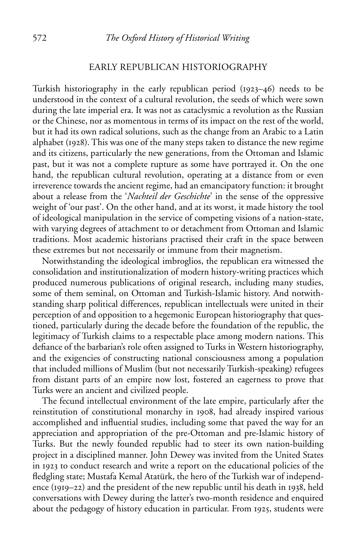#### EARLY REPUBLICAN HISTORIOGRAPHY

 Turkish historiography in the early republican period (1923–46) needs to be understood in the context of a cultural revolution, the seeds of which were sown during the late imperial era. It was not as cataclysmic a revolution as the Russian or the Chinese, nor as momentous in terms of its impact on the rest of the world, but it had its own radical solutions, such as the change from an Arabic to a Latin alphabet (1928). This was one of the many steps taken to distance the new regime and its citizens, particularly the new generations, from the Ottoman and Islamic past, but it was not a complete rupture as some have portrayed it. On the one hand, the republican cultural revolution, operating at a distance from or even irreverence towards the ancient regime, had an emancipatory function: it brought about a release from the '*Nachteil der Geschichte*' in the sense of the oppressive weight of 'our past'. On the other hand, and at its worst, it made history the tool of ideological manipulation in the service of competing visions of a nation-state, with varying degrees of attachment to or detachment from Ottoman and Islamic traditions. Most academic historians practised their craft in the space between these extremes but not necessarily or immune from their magnetism.

 Notwithstanding the ideological imbroglios, the republican era witnessed the consolidation and institutionalization of modern history-writing practices which produced numerous publications of original research, including many studies, some of them seminal, on Ottoman and Turkish-Islamic history. And notwithstanding sharp political differences, republican intellectuals were united in their perception of and opposition to a hegemonic European historiography that questioned, particularly during the decade before the foundation of the republic, the legitimacy of Turkish claims to a respectable place among modern nations. This defiance of the barbarian's role often assigned to Turks in Western historiography, and the exigencies of constructing national consciousness among a population that included millions of Muslim (but not necessarily Turkish-speaking) refugees from distant parts of an empire now lost, fostered an eagerness to prove that Turks were an ancient and civilized people.

 The fecund intellectual environment of the late empire, particularly after the reinstitution of constitutional monarchy in 1908, had already inspired various accomplished and influential studies, including some that paved the way for an appreciation and appropriation of the pre-Ottoman and pre-Islamic history of Turks. But the newly founded republic had to steer its own nation-building project in a disciplined manner. John Dewey was invited from the United States in 1923 to conduct research and write a report on the educational policies of the fledgling state; Mustafa Kemal Atatürk, the hero of the Turkish war of independence (1919–22) and the president of the new republic until his death in 1938, held conversations with Dewey during the latter's two-month residence and enquired about the pedagogy of history education in particular. From 1925, students were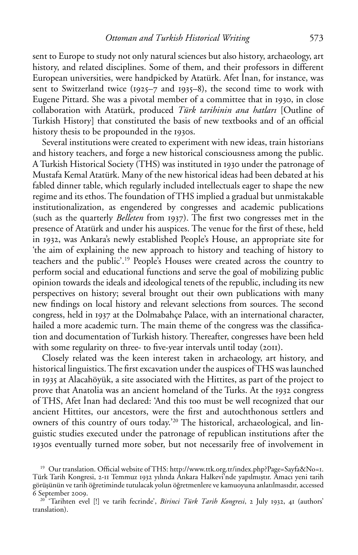sent to Europe to study not only natural sciences but also history, archaeology, art history, and related disciplines. Some of them, and their professors in different European universities, were handpicked by Atatürk. Afet İnan, for instance, was sent to Switzerland twice (1925–7 and 1935–8), the second time to work with Eugene Pittard. She was a pivotal member of a committee that in 1930, in close collaboration with Atatürk, produced *Türk tarihinin ana hatları* [Outline of Turkish History] that constituted the basis of new textbooks and of an official history thesis to be propounded in the 1930s.

 Several institutions were created to experiment with new ideas, train historians and history teachers, and forge a new historical consciousness among the public. A Turkish Historical Society (THS) was instituted in 1930 under the patronage of Mustafa Kemal Atatürk. Many of the new historical ideas had been debated at his fabled dinner table, which regularly included intellectuals eager to shape the new regime and its ethos. The foundation of THS implied a gradual but unmistakable institutionalization, as engendered by congresses and academic publications (such as the quarterly *Belleten* from 1937). The first two congresses met in the presence of Atatürk and under his auspices. The venue for the first of these, held in 1932, was Ankara's newly established People's House, an appropriate site for 'the aim of explaining the new approach to history and teaching of history to teachers and the public'. 19 People's Houses were created across the country to perform social and educational functions and serve the goal of mobilizing public opinion towards the ideals and ideological tenets of the republic, including its new perspectives on history; several brought out their own publications with many new findings on local history and relevant selections from sources. The second congress, held in 1937 at the Dolmabahçe Palace, with an international character, hailed a more academic turn. The main theme of the congress was the classification and documentation of Turkish history. Thereafter, congresses have been held with some regularity on three- to five-year intervals until today (2011).

 Closely related was the keen interest taken in archaeology, art history, and historical linguistics. The first excavation under the auspices of THS was launched in 1935 at Alacahöyük, a site associated with the Hittites, as part of the project to prove that Anatolia was an ancient homeland of the Turks. At the 1932 congress of THS, Afet İnan had declared: 'And this too must be well recognized that our ancient Hittites, our ancestors, were the first and autochthonous settlers and owners of this country of ours today.'<sup>20</sup> The historical, archaeological, and linguistic studies executed under the patronage of republican institutions after the 1930s eventually turned more sober, but not necessarily free of involvement in

<sup>&</sup>lt;sup>19</sup> Our translation. Official website of THS: http://www.ttk.org.tr/index.php?Page=Sayfa&No=1. Türk Tarih Kongresi, 2-11 Temmuz 1932 yılında Ankara Halkevi'nde yapılmıştır. Amacı yeni tarih görüşünün ve tarih öğretiminde tutulacak yolun öğretmenlere ve kamuoyuna anlatılmasıdır, accessed

<sup>&</sup>lt;sup>20</sup> 'Tarihten evel [!] ve tarih fecrinde', *Birinci Türk Tarih Kongresi*, 2 July 1932, 41 (authors' translation).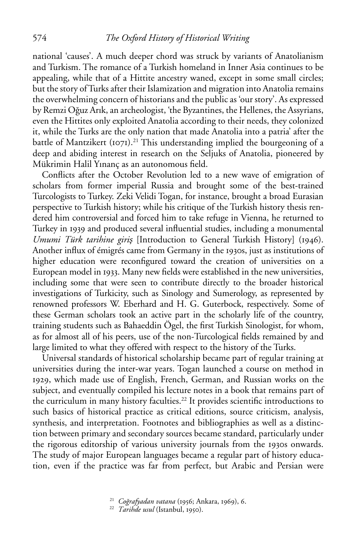national 'causes'. A much deeper chord was struck by variants of Anatolianism and Turkism. The romance of a Turkish homeland in Inner Asia continues to be appealing, while that of a Hittite ancestry waned, except in some small circles; but the story of Turks after their Islamization and migration into Anatolia remains the overwhelming concern of historians and the public as 'our story'. As expressed by Remzi Oğuz Arık, an archeologist, 'the Byzantines, the Hellenes, the Assyrians, even the Hittites only exploited Anatolia according to their needs, they colonized it, while the Turks are the only nation that made Anatolia into a patria' after the battle of Mantzikert (1071).<sup>21</sup> This understanding implied the bourgeoning of a deep and abiding interest in research on the Seljuks of Anatolia, pioneered by Mükrimin Halil Yınanç as an autonomous field.

Conflicts after the October Revolution led to a new wave of emigration of scholars from former imperial Russia and brought some of the best-trained Turcologists to Turkey. Zeki Velidi Togan, for instance, brought a broad Eurasian perspective to Turkish history; while his critique of the Turkish history thesis rendered him controversial and forced him to take refuge in Vienna, he returned to Turkey in 1939 and produced several influential studies, including a monumental *Umumi Türk tarihine giriş* [Introduction to General Turkish History] (1946). Another influx of émigrés came from Germany in the 1930s, just as institutions of higher education were reconfigured toward the creation of universities on a European model in 1933. Many new fields were established in the new universities, including some that were seen to contribute directly to the broader historical investigations of Turkicity, such as Sinology and Sumerology, as represented by renowned professors W. Eberhard and H. G. Guterbock, respectively. Some of these German scholars took an active part in the scholarly life of the country, training students such as Bahaeddin Ögel, the first Turkish Sinologist, for whom, as for almost all of his peers, use of the non-Turcological fields remained by and large limited to what they offered with respect to the history of the Turks.

 Universal standards of historical scholarship became part of regular training at universities during the inter-war years. Togan launched a course on method in 1929, which made use of English, French, German, and Russian works on the subject, and eventually compiled his lecture notes in a book that remains part of the curriculum in many history faculties.<sup>22</sup> It provides scientific introductions to such basics of historical practice as critical editions, source criticism, analysis, synthesis, and interpretation. Footnotes and bibliographies as well as a distinction between primary and secondary sources became standard, particularly under the rigorous editorship of various university journals from the 1930s onwards. The study of major European languages became a regular part of history education, even if the practice was far from perfect, but Arabic and Persian were

<sup>21</sup>*Coğrafyadan vatana* (1956; Ankara, 1969), <sup>6</sup>. 22 *Tarihde usul* (Istanbul, 1950).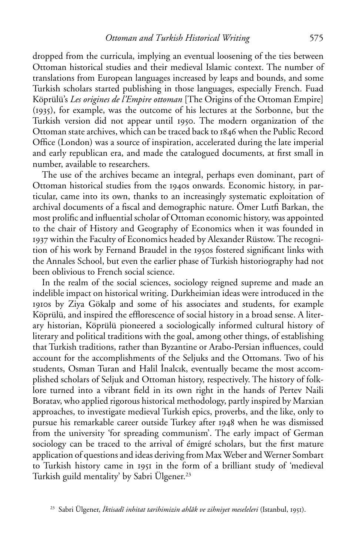dropped from the curricula, implying an eventual loosening of the ties between Ottoman historical studies and their medieval Islamic context. The number of translations from European languages increased by leaps and bounds, and some Turkish scholars started publishing in those languages, especially French. Fuad Köprülü's *Les origines de l'Empire ottoman* [The Origins of the Ottoman Empire] (1935), for example, was the outcome of his lectures at the Sorbonne, but the Turkish version did not appear until 1950. The modern organization of the Ottoman state archives, which can be traced back to 1846 when the Public Record Office (London) was a source of inspiration, accelerated during the late imperial and early republican era, and made the catalogued documents, at first small in number, available to researchers.

 The use of the archives became an integral, perhaps even dominant, part of Ottoman historical studies from the 1940s onwards. Economic history, in particular, came into its own, thanks to an increasingly systematic exploitation of archival documents of a fiscal and demographic nature. Ömer Lutfi Barkan, the most prolific and influential scholar of Ottoman economic history, was appointed to the chair of History and Geography of Economics when it was founded in 1937 within the Faculty of Economics headed by Alexander Rüstow. The recognition of his work by Fernand Braudel in the 1950s fostered significant links with the Annales School, but even the earlier phase of Turkish historiography had not been oblivious to French social science.

 In the realm of the social sciences, sociology reigned supreme and made an indelible impact on historical writing. Durkheimian ideas were introduced in the 1910s by Ziya Gökalp and some of his associates and students, for example Köprülü, and inspired the efflorescence of social history in a broad sense. A literary historian, Köprülü pioneered a sociologically informed cultural history of literary and political traditions with the goal, among other things, of establishing that Turkish traditions, rather than Byzantine or Arabo-Persian influences, could account for the accomplishments of the Seljuks and the Ottomans. Two of his students, Osman Turan and Halil İnalcık, eventually became the most accomplished scholars of Seljuk and Ottoman history, respectively. The history of folklore turned into a vibrant field in its own right in the hands of Pertev Naili Boratav, who applied rigorous historical methodology, partly inspired by Marxian approaches, to investigate medieval Turkish epics, proverbs, and the like, only to pursue his remarkable career outside Turkey after 1948 when he was dismissed from the university 'for spreading communism'. The early impact of German sociology can be traced to the arrival of émigré scholars, but the first mature application of questions and ideas deriving from Max Weber and Werner Sombart to Turkish history came in 1951 in the form of a brilliant study of 'medieval Turkish guild mentality' by Sabri Ülgener.<sup>23</sup>

 <sup>23</sup> Sabri Ülgener, *İktisadî inhitat tarihimizin ahlâk ve zihniyet meseleleri* (Istanbul, 1951).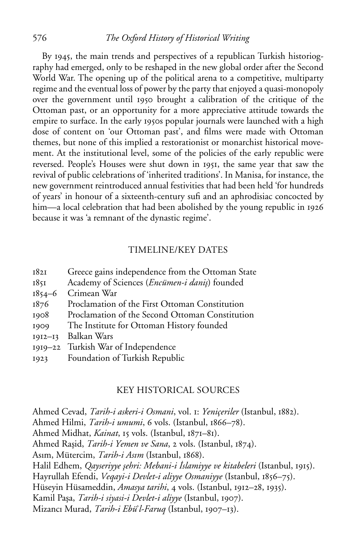#### 576 *The Oxford History of Historical Writing*

 By 1945, the main trends and perspectives of a republican Turkish historiography had emerged, only to be reshaped in the new global order after the Second World War. The opening up of the political arena to a competitive, multiparty regime and the eventual loss of power by the party that enjoyed a quasi- monopoly over the government until 1950 brought a calibration of the critique of the Ottoman past, or an opportunity for a more appreciative attitude towards the empire to surface. In the early 1950s popular journals were launched with a high dose of content on 'our Ottoman past', and films were made with Ottoman themes, but none of this implied a restorationist or monarchist historical movement. At the institutional level, some of the policies of the early republic were reversed. People's Houses were shut down in 1951, the same year that saw the revival of public celebrations of 'inherited traditions'. In Manisa, for instance, the new government reintroduced annual festivities that had been held 'for hundreds of years' in honour of a sixteenth-century sufi and an aphrodisiac concocted by him—a local celebration that had been abolished by the young republic in 1926 because it was 'a remnant of the dynastic regime'.

#### TIMELINE/KEY DATES

- 1821 Greece gains independence from the Ottoman State
- 1851 Academy of Sciences ( *Encümen-i daniş* ) founded
- 1854–6 Crimean War
- 1876 Proclamation of the First Ottoman Constitution
- 1908 Proclamation of the Second Ottoman Constitution
- 1909 The Institute for Ottoman History founded
- 1912–13 Balkan Wars
- 1919–22 Turkish War of Independence
- 1923 Foundation of Turkish Republic

#### KEY HISTORICAL SOURCES

 Ahmed Cevad, *Tarih-i askeri-i Osmani* , vol. 1: *Yeniçeriler* (Istanbul, 1882). Ahmed Hilmi, *Tarih-i umumi* , 6 vols. (Istanbul, 1866–78). Ahmed Midhat, *Kainat*, 15 vols. (Istanbul, 1871–81). Ahmed Raşid, *Tarih-i Yemen ve Sana* , 2 vols. (Istanbul, 1874). Asım, Mütercim, *Tarih-i Asım* (Istanbul, 1868). Halil Edhem, *Qayseriyye şehri: Mebani-i İslamiyye ve kitabeleri* (Istanbul, 1915). Hayrullah Efendi, *Veqayi-i Devlet-i aliyye Osmaniyye* (Istanbul, 1856–75). Hüseyin Hüsameddin, *Amasya tarihi* , 4 vols. (Istanbul, 1912–28, 1935). Kamil Paşa, *Tarih-i siyasi-i Devlet-i aliyye* (Istanbul, 1907). Mizancı Murad, *Tarih-i Ebü*ʾ*l-Faruq* (Istanbul, 1907–13).